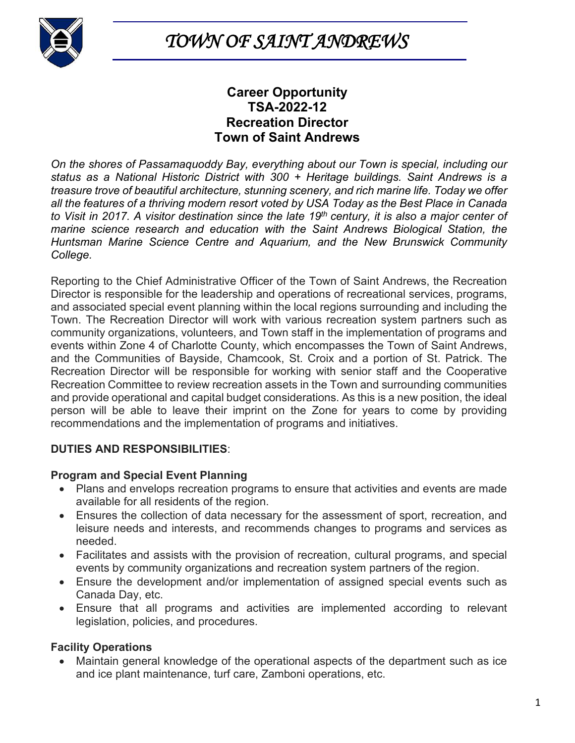

*TOWN OF SAINT ANDREWS* 

# **Career Opportunity TSA-2022-12 Recreation Director Town of Saint Andrews**

*On the shores of Passamaquoddy Bay, everything about our Town is special, including our status as a National Historic District with 300 + Heritage buildings. Saint Andrews is a treasure trove of beautiful architecture, stunning scenery, and rich marine life. Today we offer all the features of a thriving modern resort voted by USA Today as the Best Place in Canada to Visit in 2017. A visitor destination since the late 19th century, it is also a major center of marine science research and education with the Saint Andrews Biological Station, the Huntsman Marine Science Centre and Aquarium, and the New Brunswick Community College.*

Reporting to the Chief Administrative Officer of the Town of Saint Andrews, the Recreation Director is responsible for the leadership and operations of recreational services, programs, and associated special event planning within the local regions surrounding and including the Town. The Recreation Director will work with various recreation system partners such as community organizations, volunteers, and Town staff in the implementation of programs and events within Zone 4 of Charlotte County, which encompasses the Town of Saint Andrews, and the Communities of Bayside, Chamcook, St. Croix and a portion of St. Patrick. The Recreation Director will be responsible for working with senior staff and the Cooperative Recreation Committee to review recreation assets in the Town and surrounding communities and provide operational and capital budget considerations. As this is a new position, the ideal person will be able to leave their imprint on the Zone for years to come by providing recommendations and the implementation of programs and initiatives.

# **DUTIES AND RESPONSIBILITIES**:

#### **Program and Special Event Planning**

- Plans and envelops recreation programs to ensure that activities and events are made available for all residents of the region.
- Ensures the collection of data necessary for the assessment of sport, recreation, and leisure needs and interests, and recommends changes to programs and services as needed.
- Facilitates and assists with the provision of recreation, cultural programs, and special events by community organizations and recreation system partners of the region.
- Ensure the development and/or implementation of assigned special events such as Canada Day, etc.
- Ensure that all programs and activities are implemented according to relevant legislation, policies, and procedures.

# **Facility Operations**

• Maintain general knowledge of the operational aspects of the department such as ice and ice plant maintenance, turf care, Zamboni operations, etc.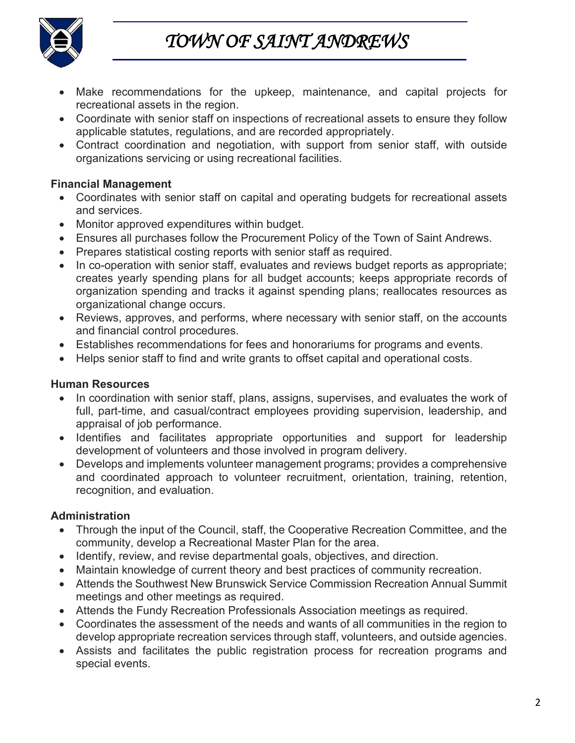

*TOWN OF SAINT ANDREWS* 

- Make recommendations for the upkeep, maintenance, and capital projects for recreational assets in the region.
- Coordinate with senior staff on inspections of recreational assets to ensure they follow applicable statutes, regulations, and are recorded appropriately.
- Contract coordination and negotiation, with support from senior staff, with outside organizations servicing or using recreational facilities.

#### **Financial Management**

- Coordinates with senior staff on capital and operating budgets for recreational assets and services.
- Monitor approved expenditures within budget.
- Ensures all purchases follow the Procurement Policy of the Town of Saint Andrews.
- Prepares statistical costing reports with senior staff as required.
- In co-operation with senior staff, evaluates and reviews budget reports as appropriate; creates yearly spending plans for all budget accounts; keeps appropriate records of organization spending and tracks it against spending plans; reallocates resources as organizational change occurs.
- Reviews, approves, and performs, where necessary with senior staff, on the accounts and financial control procedures.
- Establishes recommendations for fees and honorariums for programs and events.
- Helps senior staff to find and write grants to offset capital and operational costs.

# **Human Resources**

- In coordination with senior staff, plans, assigns, supervises, and evaluates the work of full, part-time, and casual/contract employees providing supervision, leadership, and appraisal of job performance.
- Identifies and facilitates appropriate opportunities and support for leadership development of volunteers and those involved in program delivery.
- Develops and implements volunteer management programs; provides a comprehensive and coordinated approach to volunteer recruitment, orientation, training, retention, recognition, and evaluation.

# **Administration**

- Through the input of the Council, staff, the Cooperative Recreation Committee, and the community, develop a Recreational Master Plan for the area.
- Identify, review, and revise departmental goals, objectives, and direction.
- Maintain knowledge of current theory and best practices of community recreation.
- Attends the Southwest New Brunswick Service Commission Recreation Annual Summit meetings and other meetings as required.
- Attends the Fundy Recreation Professionals Association meetings as required.
- Coordinates the assessment of the needs and wants of all communities in the region to develop appropriate recreation services through staff, volunteers, and outside agencies.
- Assists and facilitates the public registration process for recreation programs and special events.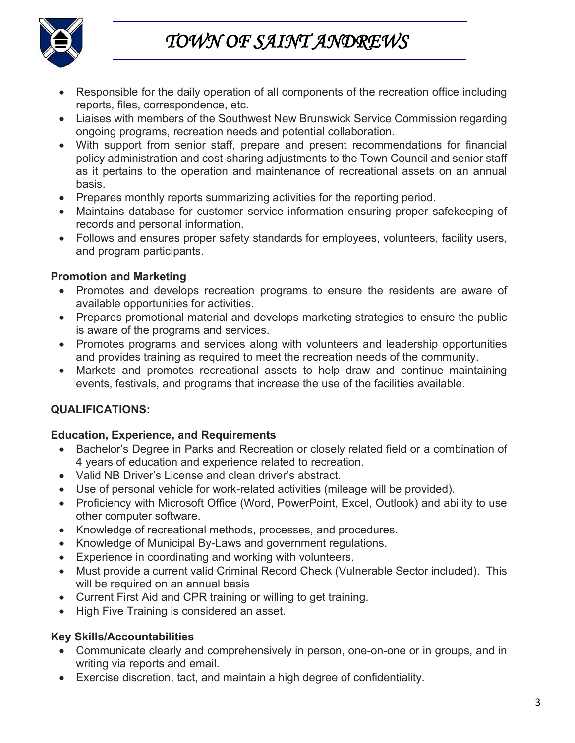



- Responsible for the daily operation of all components of the recreation office including reports, files, correspondence, etc.
- Liaises with members of the Southwest New Brunswick Service Commission regarding ongoing programs, recreation needs and potential collaboration.
- With support from senior staff, prepare and present recommendations for financial policy administration and cost-sharing adjustments to the Town Council and senior staff as it pertains to the operation and maintenance of recreational assets on an annual basis.
- Prepares monthly reports summarizing activities for the reporting period.
- Maintains database for customer service information ensuring proper safekeeping of records and personal information.
- Follows and ensures proper safety standards for employees, volunteers, facility users, and program participants.

# **Promotion and Marketing**

- Promotes and develops recreation programs to ensure the residents are aware of available opportunities for activities.
- Prepares promotional material and develops marketing strategies to ensure the public is aware of the programs and services.
- Promotes programs and services along with volunteers and leadership opportunities and provides training as required to meet the recreation needs of the community.
- Markets and promotes recreational assets to help draw and continue maintaining events, festivals, and programs that increase the use of the facilities available.

# **QUALIFICATIONS:**

# **Education, Experience, and Requirements**

- Bachelor's Degree in Parks and Recreation or closely related field or a combination of 4 years of education and experience related to recreation.
- Valid NB Driver's License and clean driver's abstract.
- Use of personal vehicle for work-related activities (mileage will be provided).
- Proficiency with Microsoft Office (Word, PowerPoint, Excel, Outlook) and ability to use other computer software.
- Knowledge of recreational methods, processes, and procedures.
- Knowledge of Municipal By-Laws and government regulations.
- Experience in coordinating and working with volunteers.
- Must provide a current valid Criminal Record Check (Vulnerable Sector included). This will be required on an annual basis
- Current First Aid and CPR training or willing to get training.
- High Five Training is considered an asset.

# **Key Skills/Accountabilities**

- Communicate clearly and comprehensively in person, one-on-one or in groups, and in writing via reports and email.
- Exercise discretion, tact, and maintain a high degree of confidentiality.